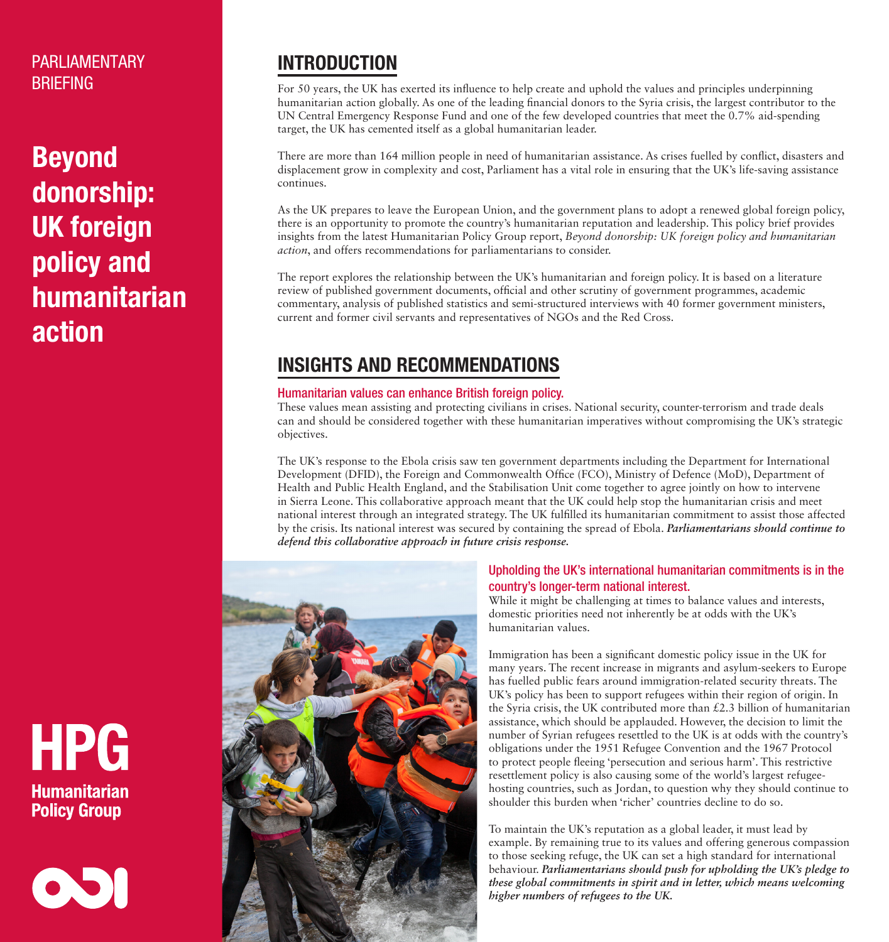### PARLIAMENTARY BRIEFING

## Beyond donorship: UK foreign policy and humanitarian action

**HPG Humanitarian Policy Group** 

 $\bullet$ 



For 50 years, the UK has exerted its influence to help create and uphold the values and principles underpinning humanitarian action globally. As one of the leading financial donors to the Syria crisis, the largest contributor to the UN Central Emergency Response Fund and one of the few developed countries that meet the 0.7% aid-spending target, the UK has cemented itself as a global humanitarian leader.

There are more than 164 million people in need of humanitarian assistance. As crises fuelled by conflict, disasters and displacement grow in complexity and cost, Parliament has a vital role in ensuring that the UK's life-saving assistance continues.

As the UK prepares to leave the European Union, and the government plans to adopt a renewed global foreign policy, there is an opportunity to promote the country's humanitarian reputation and leadership. This policy brief provides insights from the latest Humanitarian Policy Group report, *Beyond donorship: UK foreign policy and humanitarian action*, and offers recommendations for parliamentarians to consider.

The report explores the relationship between the UK's humanitarian and foreign policy. It is based on a literature review of published government documents, official and other scrutiny of government programmes, academic commentary, analysis of published statistics and semi-structured interviews with 40 former government ministers, current and former civil servants and representatives of NGOs and the Red Cross.

### INSIGHTS AND RECOMMENDATIONS

#### Humanitarian values can enhance British foreign policy.

These values mean assisting and protecting civilians in crises. National security, counter-terrorism and trade deals can and should be considered together with these humanitarian imperatives without compromising the UK's strategic objectives.

The UK's response to the Ebola crisis saw ten government departments including the Department for International Development (DFID), the Foreign and Commonwealth Office (FCO), Ministry of Defence (MoD), Department of Health and Public Health England, and the Stabilisation Unit come together to agree jointly on how to intervene in Sierra Leone. This collaborative approach meant that the UK could help stop the humanitarian crisis and meet national interest through an integrated strategy. The UK fulfilled its humanitarian commitment to assist those affected by the crisis. Its national interest was secured by containing the spread of Ebola. *Parliamentarians should continue to defend this collaborative approach in future crisis response.*



#### Upholding the UK's international humanitarian commitments is in the country's longer-term national interest.

While it might be challenging at times to balance values and interests, domestic priorities need not inherently be at odds with the UK's humanitarian values.

Immigration has been a significant domestic policy issue in the UK for many years. The recent increase in migrants and asylum-seekers to Europe has fuelled public fears around immigration-related security threats. The UK's policy has been to support refugees within their region of origin. In the Syria crisis, the UK contributed more than  $£2.3$  billion of humanitarian assistance, which should be applauded. However, the decision to limit the number of Syrian refugees resettled to the UK is at odds with the country's obligations under the 1951 Refugee Convention and the 1967 Protocol to protect people fleeing 'persecution and serious harm'. This restrictive resettlement policy is also causing some of the world's largest refugeehosting countries, such as Jordan, to question why they should continue to shoulder this burden when 'richer' countries decline to do so.

To maintain the UK's reputation as a global leader, it must lead by example. By remaining true to its values and offering generous compassion to those seeking refuge, the UK can set a high standard for international behaviour. *Parliamentarians should push for upholding the UK's pledge to these global commitments in spirit and in letter, which means welcoming higher numbers of refugees to the UK.*